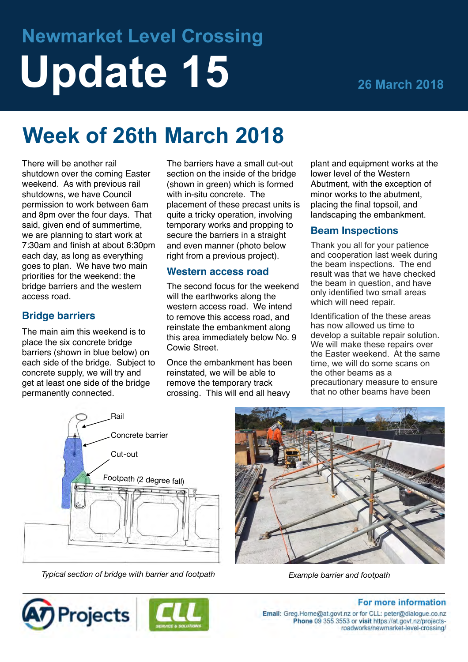# **Newmarket Level Crossing Update 15 26 March 2018**

## **Week of 26th March 2018**

There will be another rail shutdown over the coming Easter weekend. As with previous rail shutdowns, we have Council permission to work between 6am and 8pm over the four days. That said, given end of summertime, we are planning to start work at 7:30am and finish at about 6:30pm each day, as long as everything goes to plan. We have two main priorities for the weekend: the bridge barriers and the western access road.

#### **Bridge barriers**

The main aim this weekend is to place the six concrete bridge barriers (shown in blue below) on each side of the bridge. Subject to concrete supply, we will try and get at least one side of the bridge permanently connected.

The barriers have a small cut-out section on the inside of the bridge (shown in green) which is formed with in-situ concrete. The placement of these precast units is quite a tricky operation, involving temporary works and propping to secure the barriers in a straight and even manner (photo below right from a previous project).

#### **Western access road**

The second focus for the weekend will the earthworks along the western access road. We intend to remove this access road, and reinstate the embankment along this area immediately below No. 9 Cowie Street.

Once the embankment has been reinstated, we will be able to remove the temporary track crossing. This will end all heavy

plant and equipment works at the lower level of the Western Abutment, with the exception of minor works to the abutment, placing the final topsoil, and landscaping the embankment.

#### **Beam Inspections**

Thank you all for your patience and cooperation last week during the beam inspections. The end result was that we have checked the beam in question, and have only identified two small areas which will need repair.

Identification of the these areas has now allowed us time to develop a suitable repair solution. We will make these repairs over the Easter weekend. At the same time, we will do some scans on the other beams as a precautionary measure to ensure that no other beams have been



*Typical section of bridge with barrier and footpath Example barrier and footpath*

**Projects** 



**For more information** Email: Greg.Horne@at.govt.nz or for CLL: peter@dialogue.co.nz Phone 09 355 3553 or visit https://at.govt.nz/projectsroadworks/newmarket-level-crossing/